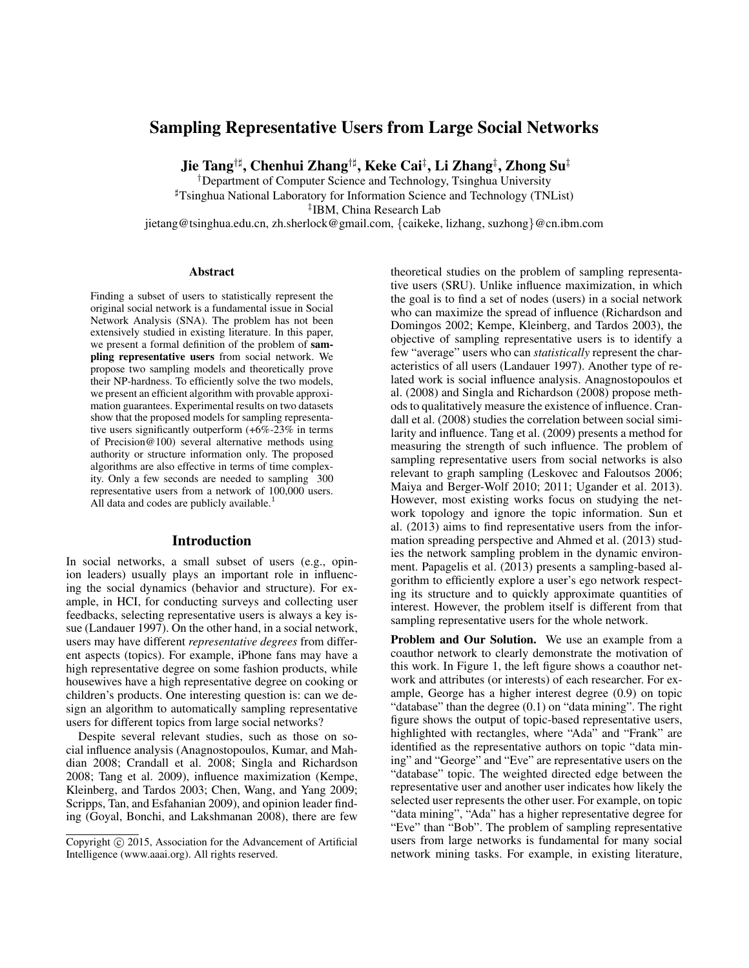# Sampling Representative Users from Large Social Networks

Jie Tang†] , Chenhui Zhang†] , Keke Cai‡ , Li Zhang‡ , Zhong Su‡

†Department of Computer Science and Technology, Tsinghua University ]Tsinghua National Laboratory for Information Science and Technology (TNList)

‡ IBM, China Research Lab

jietang@tsinghua.edu.cn, zh.sherlock@gmail.com, {caikeke, lizhang, suzhong}@cn.ibm.com

#### Abstract

Finding a subset of users to statistically represent the original social network is a fundamental issue in Social Network Analysis (SNA). The problem has not been extensively studied in existing literature. In this paper, we present a formal definition of the problem of sampling representative users from social network. We propose two sampling models and theoretically prove their NP-hardness. To efficiently solve the two models, we present an efficient algorithm with provable approximation guarantees. Experimental results on two datasets show that the proposed models for sampling representative users significantly outperform (+6%-23% in terms of Precision@100) several alternative methods using authority or structure information only. The proposed algorithms are also effective in terms of time complexity. Only a few seconds are needed to sampling 300 representative users from a network of 100,000 users. All data and codes are publicly available.<sup>1</sup>

### Introduction

In social networks, a small subset of users (e.g., opinion leaders) usually plays an important role in influencing the social dynamics (behavior and structure). For example, in HCI, for conducting surveys and collecting user feedbacks, selecting representative users is always a key issue (Landauer 1997). On the other hand, in a social network, users may have different *representative degrees* from different aspects (topics). For example, iPhone fans may have a high representative degree on some fashion products, while housewives have a high representative degree on cooking or children's products. One interesting question is: can we design an algorithm to automatically sampling representative users for different topics from large social networks?

Despite several relevant studies, such as those on social influence analysis (Anagnostopoulos, Kumar, and Mahdian 2008; Crandall et al. 2008; Singla and Richardson 2008; Tang et al. 2009), influence maximization (Kempe, Kleinberg, and Tardos 2003; Chen, Wang, and Yang 2009; Scripps, Tan, and Esfahanian 2009), and opinion leader finding (Goyal, Bonchi, and Lakshmanan 2008), there are few

theoretical studies on the problem of sampling representative users (SRU). Unlike influence maximization, in which the goal is to find a set of nodes (users) in a social network who can maximize the spread of influence (Richardson and Domingos 2002; Kempe, Kleinberg, and Tardos 2003), the objective of sampling representative users is to identify a few "average" users who can *statistically* represent the characteristics of all users (Landauer 1997). Another type of related work is social influence analysis. Anagnostopoulos et al. (2008) and Singla and Richardson (2008) propose methods to qualitatively measure the existence of influence. Crandall et al. (2008) studies the correlation between social similarity and influence. Tang et al. (2009) presents a method for measuring the strength of such influence. The problem of sampling representative users from social networks is also relevant to graph sampling (Leskovec and Faloutsos 2006; Maiya and Berger-Wolf 2010; 2011; Ugander et al. 2013). However, most existing works focus on studying the network topology and ignore the topic information. Sun et al. (2013) aims to find representative users from the information spreading perspective and Ahmed et al. (2013) studies the network sampling problem in the dynamic environment. Papagelis et al. (2013) presents a sampling-based algorithm to efficiently explore a user's ego network respecting its structure and to quickly approximate quantities of interest. However, the problem itself is different from that sampling representative users for the whole network.

Problem and Our Solution. We use an example from a coauthor network to clearly demonstrate the motivation of this work. In Figure 1, the left figure shows a coauthor network and attributes (or interests) of each researcher. For example, George has a higher interest degree (0.9) on topic "database" than the degree (0.1) on "data mining". The right figure shows the output of topic-based representative users, highlighted with rectangles, where "Ada" and "Frank" are identified as the representative authors on topic "data mining" and "George" and "Eve" are representative users on the "database" topic. The weighted directed edge between the representative user and another user indicates how likely the selected user represents the other user. For example, on topic "data mining", "Ada" has a higher representative degree for "Eve" than "Bob". The problem of sampling representative users from large networks is fundamental for many social network mining tasks. For example, in existing literature,

Copyright © 2015, Association for the Advancement of Artificial Intelligence (www.aaai.org). All rights reserved.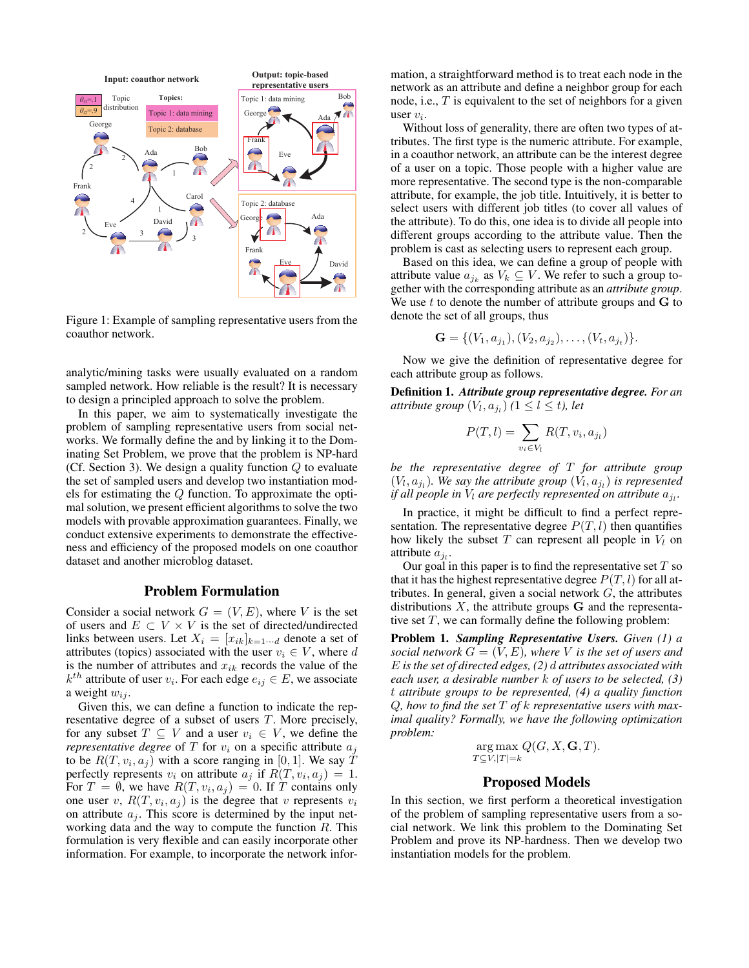

Figure 1: Example of sampling representative users from the coauthor network.

analytic/mining tasks were usually evaluated on a random sampled network. How reliable is the result? It is necessary to design a principled approach to solve the problem.

In this paper, we aim to systematically investigate the problem of sampling representative users from social networks. We formally define the and by linking it to the Dominating Set Problem, we prove that the problem is NP-hard (Cf. Section 3). We design a quality function  $Q$  to evaluate the set of sampled users and develop two instantiation models for estimating the Q function. To approximate the optimal solution, we present efficient algorithms to solve the two models with provable approximation guarantees. Finally, we conduct extensive experiments to demonstrate the effectiveness and efficiency of the proposed models on one coauthor dataset and another microblog dataset.

#### Problem Formulation

Consider a social network  $G = (V, E)$ , where V is the set of users and  $E \subset V \times V$  is the set of directed/undirected links between users. Let  $X_i = [x_{ik}]_{k=1 \cdots d}$  denote a set of attributes (topics) associated with the user  $v_i \in V$ , where d is the number of attributes and  $x_{ik}$  records the value of the  $k^{th}$  attribute of user  $v_i$ . For each edge  $e_{ij} \in E$ , we associate a weight  $w_{ij}$ .

Given this, we can define a function to indicate the representative degree of a subset of users T. More precisely, for any subset  $T \subseteq V$  and a user  $v_i \in V$ , we define the *representative degree* of  $T$  for  $v_i$  on a specific attribute  $a_i$ to be  $R(T, v_i, a_j)$  with a score ranging in [0, 1]. We say T perfectly represents  $v_i$  on attribute  $a_j$  if  $R(T, v_i, a_j) = 1$ . For  $T = \emptyset$ , we have  $R(T, v_i, a_j) = 0$ . If T contains only one user v,  $R(T, v_i, a_j)$  is the degree that v represents  $v_i$ on attribute  $a_j$ . This score is determined by the input networking data and the way to compute the function  $R$ . This formulation is very flexible and can easily incorporate other information. For example, to incorporate the network information, a straightforward method is to treat each node in the network as an attribute and define a neighbor group for each node, i.e., T is equivalent to the set of neighbors for a given user  $v_i$ .

Without loss of generality, there are often two types of attributes. The first type is the numeric attribute. For example, in a coauthor network, an attribute can be the interest degree of a user on a topic. Those people with a higher value are more representative. The second type is the non-comparable attribute, for example, the job title. Intuitively, it is better to select users with different job titles (to cover all values of the attribute). To do this, one idea is to divide all people into different groups according to the attribute value. Then the problem is cast as selecting users to represent each group.

Based on this idea, we can define a group of people with attribute value  $a_{j_k}$  as  $V_k \subseteq V$ . We refer to such a group together with the corresponding attribute as an *attribute group*. We use  $t$  to denote the number of attribute groups and  $G$  to denote the set of all groups, thus

$$
\mathbf{G} = \{ (V_1, a_{j_1}), (V_2, a_{j_2}), \ldots, (V_t, a_{j_t}) \}.
$$

Now we give the definition of representative degree for each attribute group as follows.

Definition 1. *Attribute group representative degree. For an attribute group*  $(V_l, a_{j_l})$   $(1 \leq l \leq t)$ , let

$$
P(T, l) = \sum_{v_i \in V_l} R(T, v_i, a_{j_l})
$$

*be the representative degree of* T *for attribute group*  $(V_l, a_{j_l})$ . We say the attribute group  $(V_l, a_{j_l})$  is represented if all people in  $V_l$  are perfectly represented on attribute  $a_{j_l}$ .

In practice, it might be difficult to find a perfect representation. The representative degree  $P(T, l)$  then quantifies how likely the subset  $T$  can represent all people in  $V_l$  on attribute  $a_{j_l}$ .

Our goal in this paper is to find the representative set  $T$  so that it has the highest representative degree  $P(T, l)$  for all attributes. In general, given a social network  $G$ , the attributes distributions  $X$ , the attribute groups  $G$  and the representative set  $T$ , we can formally define the following problem:

Problem 1. *Sampling Representative Users. Given (1) a social network*  $G = (V, E)$ *, where* V *is the set of users and* E *is the set of directed edges, (2)* d *attributes associated with each user, a desirable number* k *of users to be selected, (3)* t *attribute groups to be represented, (4) a quality function* Q*, how to find the set* T *of* k *representative users with maximal quality? Formally, we have the following optimization problem:*

> $arg max Q(G, X, \mathbf{G}, T).$  $T\subseteq V, |T|=k$

## Proposed Models

In this section, we first perform a theoretical investigation of the problem of sampling representative users from a social network. We link this problem to the Dominating Set Problem and prove its NP-hardness. Then we develop two instantiation models for the problem.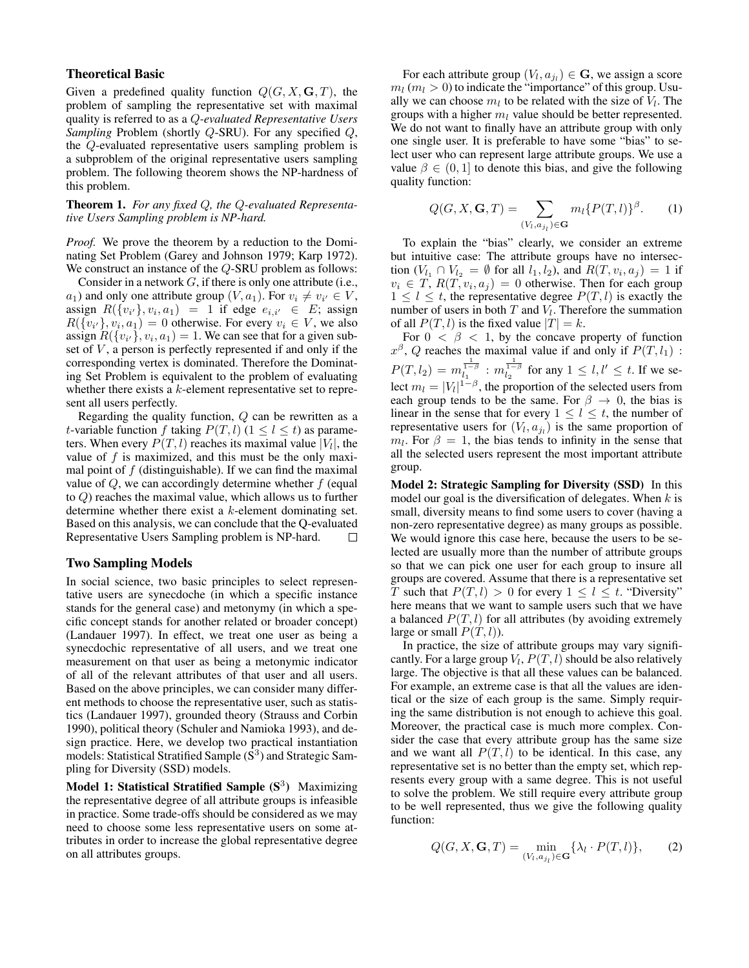### Theoretical Basic

Given a predefined quality function  $Q(G, X, \mathbf{G}, T)$ , the problem of sampling the representative set with maximal quality is referred to as a Q*-evaluated Representative Users Sampling* Problem (shortly Q-SRU). For any specified Q, the Q-evaluated representative users sampling problem is a subproblem of the original representative users sampling problem. The following theorem shows the NP-hardness of this problem.

#### Theorem 1. *For any fixed* Q*, the* Q*-evaluated Representative Users Sampling problem is NP-hard.*

*Proof.* We prove the theorem by a reduction to the Dominating Set Problem (Garey and Johnson 1979; Karp 1972). We construct an instance of the Q-SRU problem as follows:

Consider in a network  $G$ , if there is only one attribute (i.e.,  $a_1$ ) and only one attribute group  $(V, a_1)$ . For  $v_i \neq v_{i'} \in V$ , assign  $R({v_{i'}}), v_i, a_1$  = 1 if edge  $e_{i,i'} \in E$ ; assign  $R({v_{i'}}, v_i, a_1) = 0$  otherwise. For every  $v_i \in V$ , we also assign  $R({v_i}, v_i, a_1) = 1$ . We can see that for a given subset of  $V$ , a person is perfectly represented if and only if the corresponding vertex is dominated. Therefore the Dominating Set Problem is equivalent to the problem of evaluating whether there exists a k-element representative set to represent all users perfectly.

Regarding the quality function,  $Q$  can be rewritten as a t-variable function f taking  $P(T, l)$  ( $1 \le l \le t$ ) as parameters. When every  $P(T, l)$  reaches its maximal value  $|V_l|$ , the value of  $f$  is maximized, and this must be the only maximal point of  $f$  (distinguishable). If we can find the maximal value of  $Q$ , we can accordingly determine whether  $f$  (equal to Q) reaches the maximal value, which allows us to further determine whether there exist a k-element dominating set. Based on this analysis, we can conclude that the Q-evaluated Representative Users Sampling problem is NP-hard.  $\Box$ 

#### Two Sampling Models

In social science, two basic principles to select representative users are synecdoche (in which a specific instance stands for the general case) and metonymy (in which a specific concept stands for another related or broader concept) (Landauer 1997). In effect, we treat one user as being a synecdochic representative of all users, and we treat one measurement on that user as being a metonymic indicator of all of the relevant attributes of that user and all users. Based on the above principles, we can consider many different methods to choose the representative user, such as statistics (Landauer 1997), grounded theory (Strauss and Corbin 1990), political theory (Schuler and Namioka 1993), and design practice. Here, we develop two practical instantiation models: Statistical Stratified Sample  $(S<sup>3</sup>)$  and Strategic Sampling for Diversity (SSD) models.

Model 1: Statistical Stratified Sample  $(S^3)$  Maximizing the representative degree of all attribute groups is infeasible in practice. Some trade-offs should be considered as we may need to choose some less representative users on some attributes in order to increase the global representative degree on all attributes groups.

For each attribute group  $(V_l, a_{j_l}) \in \mathbf{G}$ , we assign a score  $m_l$  ( $m_l > 0$ ) to indicate the "importance" of this group. Usually we can choose  $m_l$  to be related with the size of  $V_l$ . The groups with a higher  $m_l$  value should be better represented. We do not want to finally have an attribute group with only one single user. It is preferable to have some "bias" to select user who can represent large attribute groups. We use a value  $\beta \in (0, 1]$  to denote this bias, and give the following quality function:

$$
Q(G, X, \mathbf{G}, T) = \sum_{(V_l, a_{j_l}) \in \mathbf{G}} m_l \{P(T, l)\}^{\beta}.
$$
 (1)

To explain the "bias" clearly, we consider an extreme but intuitive case: The attribute groups have no intersection  $(V_{l_1} \cap V_{l_2} = \emptyset$  for all  $l_1, l_2$ ), and  $R(T, v_i, a_j) = 1$  if  $v_i \in T$ ,  $R(T, v_i, a_j) = 0$  otherwise. Then for each group  $1 \leq l \leq t$ , the representative degree  $P(T, l)$  is exactly the number of users in both  $T$  and  $V_l$ . Therefore the summation of all  $P(T, l)$  is the fixed value  $|T| = k$ .

For  $0 < \beta < 1$ , by the concave property of function  $x^{\beta}$ , Q reaches the maximal value if and only if  $P(T, l_1)$ :  $P(T, l_2) = m_{{l_1}}^{\frac{1}{1-\beta}} : m_{{l_2}}^{\frac{1}{1-\beta}}$  for any  $1 \le l, l' \le t$ . If we select  $m_l = |V_l|^{1-\beta}$ , the proportion of the selected users from each group tends to be the same. For  $\beta \rightarrow 0$ , the bias is linear in the sense that for every  $1 \leq l \leq t$ , the number of representative users for  $(V_l, a_{j_l})$  is the same proportion of  $m_l$ . For  $\beta = 1$ , the bias tends to infinity in the sense that all the selected users represent the most important attribute group.

Model 2: Strategic Sampling for Diversity (SSD) In this model our goal is the diversification of delegates. When  $k$  is small, diversity means to find some users to cover (having a non-zero representative degree) as many groups as possible. We would ignore this case here, because the users to be selected are usually more than the number of attribute groups so that we can pick one user for each group to insure all groups are covered. Assume that there is a representative set T such that  $P(T, l) > 0$  for every  $1 \leq l \leq t$ . "Diversity" here means that we want to sample users such that we have a balanced  $P(T, l)$  for all attributes (by avoiding extremely large or small  $P(T, l)$ ).

In practice, the size of attribute groups may vary significantly. For a large group  $V_l$ ,  $P(T, l)$  should be also relatively large. The objective is that all these values can be balanced. For example, an extreme case is that all the values are identical or the size of each group is the same. Simply requiring the same distribution is not enough to achieve this goal. Moreover, the practical case is much more complex. Consider the case that every attribute group has the same size and we want all  $P(T, l)$  to be identical. In this case, any representative set is no better than the empty set, which represents every group with a same degree. This is not useful to solve the problem. We still require every attribute group to be well represented, thus we give the following quality function:

$$
Q(G, X, \mathbf{G}, T) = \min_{(V_l, a_{j_l}) \in \mathbf{G}} \{ \lambda_l \cdot P(T, l) \},\tag{2}
$$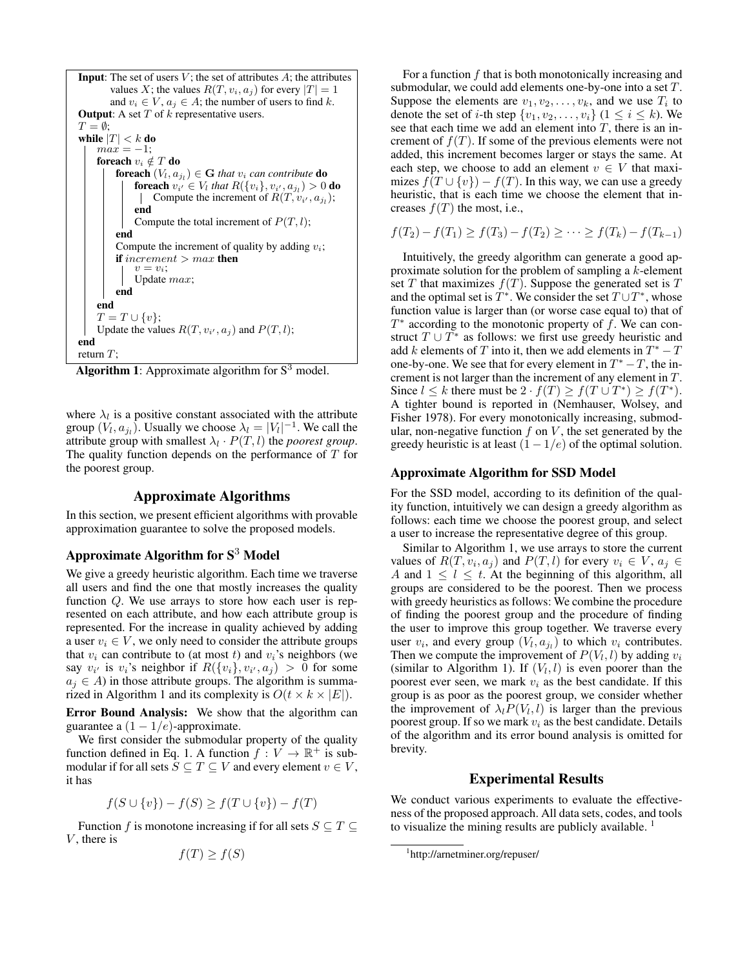**Input:** The set of users *V*; the set of attributes *A*; the attributes values *X*; the values 
$$
R(T, v_i, a_j)
$$
 for every  $|T| = 1$  and  $v_i \in V$ ,  $a_j \in A$ ; the number of users to find *k*. **Output:** A set *T* of *k* representative users.  $T = \emptyset$ ; **while**  $|T| < k$  **do**  $max = -1$ ; **for each**  $v_i \notin T$  **do for each**  $(V_i, a_{j_l}) \in G$  that  $v_i$  can contribute **do for each**  $(V_i, a_j) \in V_i$  that  $R(\{v_i\}, v_{i'}, a_{j_l}) > 0$  **do**  $|$  **foreach**  $v_{i'} \in V_i$  that  $R(\{v_i\}, v_{i'}, a_{j_l}) > 0$  **do**  $|$  **for each**  $v_i \in V_i$  that  $R(\{v_i\}, v_{i'}, a_{j_l}) > 0$  **do**  $|$  **for each**  $v_i \in V_i$  that  $R(\{v_i\}, v_{i'}, a_{j_l}) > 0$  **do**  $|$  **for each**  $v_i \in V_i$  that  $R(\{v_i\}, v_{i'}, a_{j_l}) > 0$  **do**  $|$  **for each**  $v_i \in V_i$  that  $R(\{v_i\}, v_{i'}, a_{j_l})$ ; **end Compute the statement of**  $P(T, l)$ ; **end end end end end end end end**

**Algorithm 1:** Approximate algorithm for  $S^{\circ}$  model.

where  $\lambda_l$  is a positive constant associated with the attribute group  $(V_l, a_{j_l})$ . Usually we choose  $\lambda_l = |V_l|^{-1}$ . We call the attribute group with smallest  $\lambda_l \cdot P(T, l)$  the *poorest group*. The quality function depends on the performance of T for the poorest group.

#### Approximate Algorithms

In this section, we present efficient algorithms with provable approximation guarantee to solve the proposed models.

# Approximate Algorithm for  $S<sup>3</sup>$  Model

We give a greedy heuristic algorithm. Each time we traverse all users and find the one that mostly increases the quality function Q. We use arrays to store how each user is represented on each attribute, and how each attribute group is represented. For the increase in quality achieved by adding a user  $v_i \in V$ , we only need to consider the attribute groups that  $v_i$  can contribute to (at most t) and  $v_i$ 's neighbors (we say  $v_{i'}$  is  $v_i$ 's neighbor if  $R({v_i}, v_{i'}, a_j) > 0$  for some  $a_i \in A$ ) in those attribute groups. The algorithm is summarized in Algorithm 1 and its complexity is  $O(t \times k \times |E|)$ .

Error Bound Analysis: We show that the algorithm can guarantee a  $(1 - 1/e)$ -approximate.

We first consider the submodular property of the quality function defined in Eq. 1. A function  $f: V \to \mathbb{R}^+$  is submodular if for all sets  $S \subseteq T \subseteq V$  and every element  $v \in V$ , it has

$$
f(S \cup \{v\}) - f(S) \ge f(T \cup \{v\}) - f(T)
$$

Function f is monotone increasing if for all sets  $S \subseteq T \subseteq$  $V$ , there is

$$
f(T) \ge f(S)
$$

For a function  $f$  that is both monotonically increasing and submodular, we could add elements one-by-one into a set T. Suppose the elements are  $v_1, v_2, \ldots, v_k$ , and we use  $T_i$  to denote the set of *i*-th step  $\{v_1, v_2, \ldots, v_i\}$  ( $1 \le i \le k$ ). We see that each time we add an element into  $T$ , there is an increment of  $f(T)$ . If some of the previous elements were not added, this increment becomes larger or stays the same. At each step, we choose to add an element  $v \in V$  that maximizes  $f(T \cup \{v\}) - f(T)$ . In this way, we can use a greedy heuristic, that is each time we choose the element that increases  $f(T)$  the most, i.e.,

$$
f(T_2) - f(T_1) \ge f(T_3) - f(T_2) \ge \cdots \ge f(T_k) - f(T_{k-1})
$$

Intuitively, the greedy algorithm can generate a good approximate solution for the problem of sampling a k-element set T that maximizes  $f(T)$ . Suppose the generated set is T and the optimal set is  $T^*$ . We consider the set  $T \cup T^*$ , whose function value is larger than (or worse case equal to) that of  $T^*$  according to the monotonic property of f. We can construct  $T \cup T^*$  as follows: we first use greedy heuristic and add k elements of T into it, then we add elements in  $T^* - T$ one-by-one. We see that for every element in  $T^* - T$ , the increment is not larger than the increment of any element in T. Since  $l \leq k$  there must be  $2 \cdot f(T) \geq f(T \cup T^*) \geq f(T^*)$ . A tighter bound is reported in (Nemhauser, Wolsey, and Fisher 1978). For every monotonically increasing, submodular, non-negative function  $f$  on  $V$ , the set generated by the greedy heuristic is at least  $(1 - 1/e)$  of the optimal solution.

#### Approximate Algorithm for SSD Model

For the SSD model, according to its definition of the quality function, intuitively we can design a greedy algorithm as follows: each time we choose the poorest group, and select a user to increase the representative degree of this group.

Similar to Algorithm 1, we use arrays to store the current values of  $R(T, v_i, a_j)$  and  $P(T, l)$  for every  $v_i \in V$ ,  $a_j \in$ A and  $1 \leq l \leq t$ . At the beginning of this algorithm, all groups are considered to be the poorest. Then we process with greedy heuristics as follows: We combine the procedure of finding the poorest group and the procedure of finding the user to improve this group together. We traverse every user  $v_i$ , and every group  $(V_l, a_{j_l})$  to which  $v_i$  contributes. Then we compute the improvement of  $P(V_l, l)$  by adding  $v_i$ (similar to Algorithm 1). If  $(V_l, l)$  is even poorer than the poorest ever seen, we mark  $v_i$  as the best candidate. If this group is as poor as the poorest group, we consider whether the improvement of  $\lambda_l P(V_l, l)$  is larger than the previous poorest group. If so we mark  $v_i$  as the best candidate. Details of the algorithm and its error bound analysis is omitted for brevity.

### Experimental Results

We conduct various experiments to evaluate the effectiveness of the proposed approach. All data sets, codes, and tools to visualize the mining results are publicly available.  $<sup>1</sup>$ </sup>

<sup>1</sup> http://arnetminer.org/repuser/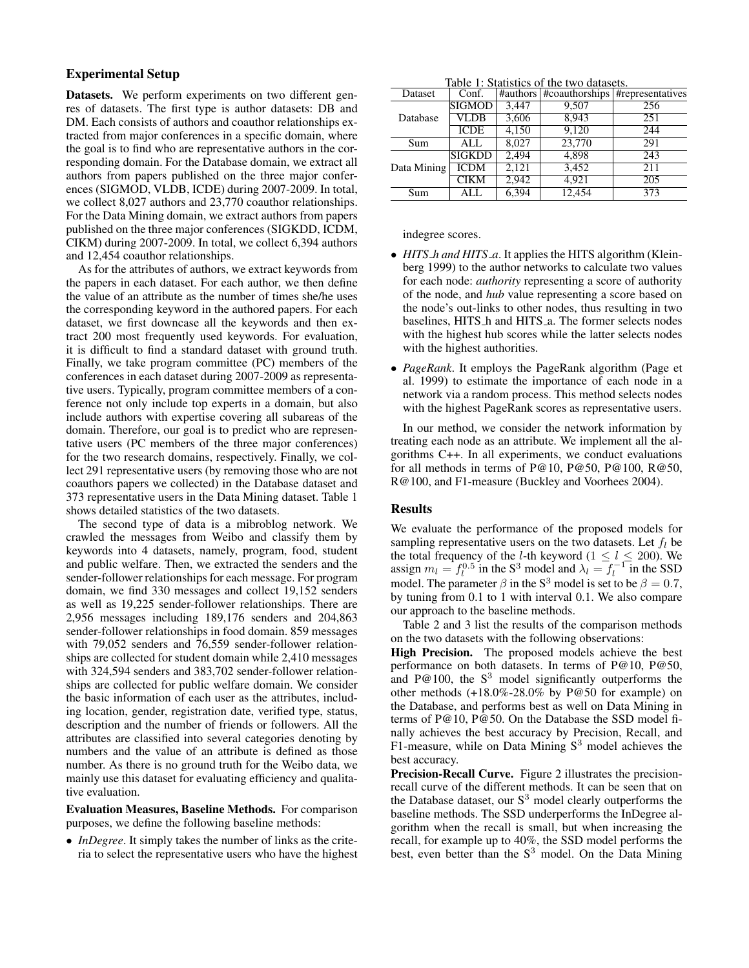## Experimental Setup

Datasets. We perform experiments on two different genres of datasets. The first type is author datasets: DB and DM. Each consists of authors and coauthor relationships extracted from major conferences in a specific domain, where the goal is to find who are representative authors in the corresponding domain. For the Database domain, we extract all authors from papers published on the three major conferences (SIGMOD, VLDB, ICDE) during 2007-2009. In total, we collect 8,027 authors and 23,770 coauthor relationships. For the Data Mining domain, we extract authors from papers published on the three major conferences (SIGKDD, ICDM, CIKM) during 2007-2009. In total, we collect 6,394 authors and 12,454 coauthor relationships.

As for the attributes of authors, we extract keywords from the papers in each dataset. For each author, we then define the value of an attribute as the number of times she/he uses the corresponding keyword in the authored papers. For each dataset, we first downcase all the keywords and then extract 200 most frequently used keywords. For evaluation, it is difficult to find a standard dataset with ground truth. Finally, we take program committee (PC) members of the conferences in each dataset during 2007-2009 as representative users. Typically, program committee members of a conference not only include top experts in a domain, but also include authors with expertise covering all subareas of the domain. Therefore, our goal is to predict who are representative users (PC members of the three major conferences) for the two research domains, respectively. Finally, we collect 291 representative users (by removing those who are not coauthors papers we collected) in the Database dataset and 373 representative users in the Data Mining dataset. Table 1 shows detailed statistics of the two datasets.

The second type of data is a mibroblog network. We crawled the messages from Weibo and classify them by keywords into 4 datasets, namely, program, food, student and public welfare. Then, we extracted the senders and the sender-follower relationships for each message. For program domain, we find 330 messages and collect 19,152 senders as well as 19,225 sender-follower relationships. There are 2,956 messages including 189,176 senders and 204,863 sender-follower relationships in food domain. 859 messages with 79,052 senders and 76,559 sender-follower relationships are collected for student domain while 2,410 messages with 324,594 senders and 383,702 sender-follower relationships are collected for public welfare domain. We consider the basic information of each user as the attributes, including location, gender, registration date, verified type, status, description and the number of friends or followers. All the attributes are classified into several categories denoting by numbers and the value of an attribute is defined as those number. As there is no ground truth for the Weibo data, we mainly use this dataset for evaluating efficiency and qualitative evaluation.

Evaluation Measures, Baseline Methods. For comparison purposes, we define the following baseline methods:

• *InDegree*. It simply takes the number of links as the criteria to select the representative users who have the highest

Table 1: Statistics of the two datasets.

| Dataset     | Conf.         |       |                                                                                   | #representatives |  |  |
|-------------|---------------|-------|-----------------------------------------------------------------------------------|------------------|--|--|
|             | <b>SIGMOD</b> | 3.447 | 9.507                                                                             | 256              |  |  |
| Database    | VLDB          | 3,606 | 8.943                                                                             | 251              |  |  |
|             | <b>ICDE</b>   | 4,150 | #authors   #coauthorships<br>9,120<br>23,770<br>4,898<br>3,452<br>4.921<br>12.454 | 244              |  |  |
| Sum         | ALL           | 8.027 |                                                                                   | 291              |  |  |
|             | <b>SIGKDD</b> | 2,494 |                                                                                   | 243              |  |  |
| Data Mining | <b>ICDM</b>   | 2,121 |                                                                                   | 211              |  |  |
|             | <b>CIKM</b>   | 2,942 |                                                                                   | 205              |  |  |
| Sum         | ALL           | 6,394 |                                                                                   | 373              |  |  |

indegree scores.

- *HITS\_h and HITS\_a*. It applies the HITS algorithm (Kleinberg 1999) to the author networks to calculate two values for each node: *authority* representing a score of authority of the node, and *hub* value representing a score based on the node's out-links to other nodes, thus resulting in two baselines, HITS\_h and HITS\_a. The former selects nodes with the highest hub scores while the latter selects nodes with the highest authorities.
- *PageRank*. It employs the PageRank algorithm (Page et al. 1999) to estimate the importance of each node in a network via a random process. This method selects nodes with the highest PageRank scores as representative users.

In our method, we consider the network information by treating each node as an attribute. We implement all the algorithms C++. In all experiments, we conduct evaluations for all methods in terms of P@10, P@50, P@100, R@50, R@100, and F1-measure (Buckley and Voorhees 2004).

#### Results

We evaluate the performance of the proposed models for sampling representative users on the two datasets. Let  $f_l$  be the total frequency of the *l*-th keyword ( $1 \le l \le 200$ ). We assign  $m_l = f_l^{0.5}$  in the S<sup>3</sup> model and  $\lambda_l = f_l^{-1}$  in the SSD model. The parameter  $\beta$  in the S<sup>3</sup> model is set to be  $\beta = 0.7$ , by tuning from 0.1 to 1 with interval 0.1. We also compare our approach to the baseline methods.

Table 2 and 3 list the results of the comparison methods on the two datasets with the following observations:

High Precision. The proposed models achieve the best performance on both datasets. In terms of P@10, P@50, and  $P@100$ , the  $S<sup>3</sup>$  model significantly outperforms the other methods (+18.0%-28.0% by P@50 for example) on the Database, and performs best as well on Data Mining in terms of P@10, P@50. On the Database the SSD model finally achieves the best accuracy by Precision, Recall, and F1-measure, while on Data Mining  $S<sup>3</sup>$  model achieves the best accuracy.

Precision-Recall Curve. Figure 2 illustrates the precisionrecall curve of the different methods. It can be seen that on the Database dataset, our  $S<sup>3</sup>$  model clearly outperforms the baseline methods. The SSD underperforms the InDegree algorithm when the recall is small, but when increasing the recall, for example up to 40%, the SSD model performs the best, even better than the  $S<sup>3</sup>$  model. On the Data Mining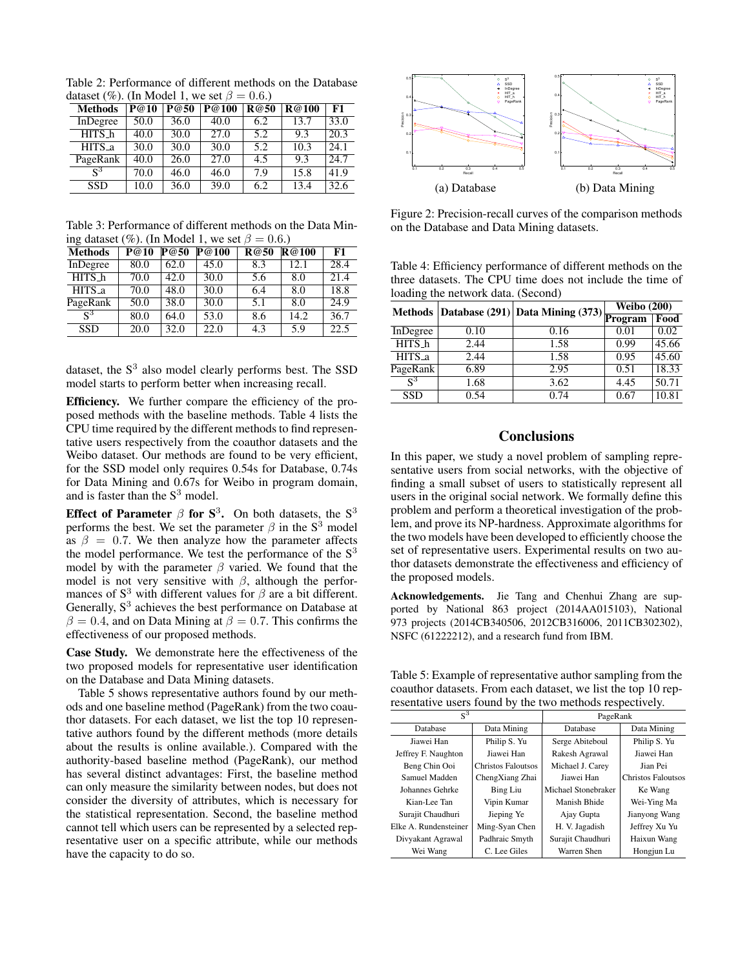Table 2: Performance of different methods on the Database dataset (%). (In Model 1, we set  $\beta = 0.6$ .)

| <b>Methods</b> | $\overline{P}$ @10 | P@50 | $\overline{P@100}$ | R@50 | R@100 | F1   |
|----------------|--------------------|------|--------------------|------|-------|------|
| InDegree       | 50.0               | 36.0 | 40.0               | 6.2  | 13.7  | 33.0 |
| HITS_h         | 40.0               | 30.0 | 27.0               | 5.2  | 9.3   | 20.3 |
| HITS_a         | 30.0               | 30.0 | 30.0               | 5.2  | 10.3  | 24.1 |
| PageRank       | 40.0               | 26.0 | 27.0               | 4.5  | 9.3   | 24.7 |
| $S^3$          | 70.0               | 46.0 | 46.0               | 7.9  | 15.8  | 41.9 |
| <b>SSD</b>     | 10.0               | 36.0 | 39.0               | 6.2  | 13.4  | 32.6 |

Table 3: Performance of different methods on the Data Mining dataset (%). (In Model 1, we set  $\beta = 0.6$ .)

| <b>Methods</b>   | P@10 | P@50 | $\overline{P@}100$ | <b>R</b> @50 | R@100 | F1   |
|------------------|------|------|--------------------|--------------|-------|------|
| InDegree         | 80.0 | 62.0 | 45.0               | 8.3          | 12.1  | 28.4 |
| HITS_h           | 70.0 | 42.0 | 30.0               | 5.6          | 8.0   | 21.4 |
| HITS_a           | 70.0 | 48.0 | 30.0               | 6.4          | 8.0   | 18.8 |
| PageRank         | 50.0 | 38.0 | 30.0               | 5.1          | 8.0   | 24.9 |
| $\overline{S}^3$ | 80.0 | 64.0 | 53.0               | 8.6          | 14.2  | 36.7 |
| <b>SSD</b>       | 20.0 | 32.0 | 22.0               | 4.3          | 5.9   | 22.5 |

dataset, the  $S<sup>3</sup>$  also model clearly performs best. The SSD model starts to perform better when increasing recall.

Efficiency. We further compare the efficiency of the proposed methods with the baseline methods. Table 4 lists the CPU time required by the different methods to find representative users respectively from the coauthor datasets and the Weibo dataset. Our methods are found to be very efficient, for the SSD model only requires 0.54s for Database, 0.74s for Data Mining and 0.67s for Weibo in program domain, and is faster than the  $S<sup>3</sup>$  model.

Effect of Parameter  $\beta$  for  $S^3$ . On both datasets, the  $S^3$ performs the best. We set the parameter  $\beta$  in the S<sup>3</sup> model as  $\beta = 0.7$ . We then analyze how the parameter affects the model performance. We test the performance of the  $S<sup>3</sup>$ model by with the parameter  $\beta$  varied. We found that the model is not very sensitive with  $\beta$ , although the performances of  $S<sup>3</sup>$  with different values for  $\beta$  are a bit different. Generally,  $S<sup>3</sup>$  achieves the best performance on Database at  $\beta = 0.4$ , and on Data Mining at  $\beta = 0.7$ . This confirms the effectiveness of our proposed methods.

Case Study. We demonstrate here the effectiveness of the two proposed models for representative user identification on the Database and Data Mining datasets.

Table 5 shows representative authors found by our methods and one baseline method (PageRank) from the two coauthor datasets. For each dataset, we list the top 10 representative authors found by the different methods (more details about the results is online available.). Compared with the authority-based baseline method (PageRank), our method has several distinct advantages: First, the baseline method can only measure the similarity between nodes, but does not consider the diversity of attributes, which is necessary for the statistical representation. Second, the baseline method cannot tell which users can be represented by a selected representative user on a specific attribute, while our methods have the capacity to do so.



Figure 2: Precision-recall curves of the comparison methods on the Database and Data Mining datasets.

Table 4: Efficiency performance of different methods on the three datasets. The CPU time does not include the time of loading the network data. (Second)

| Methods Database (291) Data Mining (373) $\frac{1}{\sqrt{2\pi}}$ |      |      | <b>Weibo</b> (200) |       |
|------------------------------------------------------------------|------|------|--------------------|-------|
|                                                                  |      |      |                    | Food  |
| InDegree                                                         | 0.10 | 0.16 | 0.01               | 0.02  |
| HITS_h                                                           | 2.44 | 1.58 | 0.99               | 45.66 |
| HITS <sub>-a</sub>                                               | 2.44 | 1.58 | 0.95               | 45.60 |
| PageRank                                                         | 6.89 | 2.95 | 0.51               | 18.33 |
| $\mathcal{S}^3$                                                  | 1.68 | 3.62 | 4.45               | 50.71 |
| <b>SSD</b>                                                       | 0.54 | 0.74 | 0.67               | 10.81 |

## **Conclusions**

In this paper, we study a novel problem of sampling representative users from social networks, with the objective of finding a small subset of users to statistically represent all users in the original social network. We formally define this problem and perform a theoretical investigation of the problem, and prove its NP-hardness. Approximate algorithms for the two models have been developed to efficiently choose the set of representative users. Experimental results on two author datasets demonstrate the effectiveness and efficiency of the proposed models.

Acknowledgements. Jie Tang and Chenhui Zhang are supported by National 863 project (2014AA015103), National 973 projects (2014CB340506, 2012CB316006, 2011CB302302), NSFC (61222212), and a research fund from IBM.

Table 5: Example of representative author sampling from the coauthor datasets. From each dataset, we list the top 10 representative users found by the two methods respectively.

| $S^3$                 |                    | PageRank            |                           |  |
|-----------------------|--------------------|---------------------|---------------------------|--|
| Database              | Data Mining        | Database            | Data Mining               |  |
| Jiawei Han            | Philip S. Yu       | Serge Abiteboul     | Philip S. Yu              |  |
| Jeffrey F. Naughton   | Jiawei Han         | Rakesh Agrawal      | Jiawei Han                |  |
| Beng Chin Ooi         | Christos Faloutsos | Michael J. Carey    | Jian Pei                  |  |
| Samuel Madden         | ChengXiang Zhai    | Jiawei Han          | <b>Christos Faloutsos</b> |  |
| Johannes Gehrke       | <b>Bing Liu</b>    | Michael Stonebraker | Ke Wang                   |  |
| Kian-Lee Tan          | Vipin Kumar        | Manish Bhide        | Wei-Ying Ma               |  |
| Surajit Chaudhuri     | Jieping Ye         | Ajay Gupta          | Jianyong Wang             |  |
| Elke A. Rundensteiner | Ming-Syan Chen     | H. V. Jagadish      | Jeffrey Xu Yu             |  |
| Divyakant Agrawal     | Padhraic Smyth     | Surajit Chaudhuri   | Haixun Wang               |  |
| Wei Wang              | C. Lee Giles       | Warren Shen         | Hongjun Lu                |  |